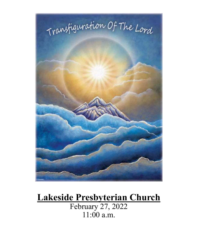

# **Lakeside Presbyterian Church**

February 27, 2022 11:00 a.m.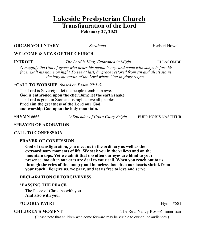# **Lakeside Presbyterian Church Transfiguration of the Lord February 27, 2022**

**ORGAN VOLUNTARY** *Saraband Saraband* **Herbert Howells** 

#### **WELCOME & NEWS OF THE CHURCH**

**INTROIT** *The Lord is King, Enthroned in Might* ELLACOMBE

*O magnify the God of grace who hears his people's cry, and come with songs before his face, exalt his name on high! To see at last, by grace restored from sin and all its stains, the holy mountain of the Lord where God in glory reigns.*

**\*CALL TO WORSHIP** *(based on Psalm 99:1-3)* 

The Lord is Sovereign; let the people tremble in awe. **God is enthroned upon the cherubim; let the earth shake.** The Lord is great in Zion and is high above all peoples. **Proclaim the greatness of the Lord our God, and worship God upon the holy mountain.**

**\*HYMN #666** *O Splendor of God's Glory Bright* PUER NOBIS NASCITUR

#### **\*PRAYER OF ADORATION**

#### **CALL TO CONFESSION**

#### **PRAYER OF CONFESSION**

**God of transfiguration, you meet us in the ordinary as well as the extraordinary moments of life. We seek you in the valleys and on the mountain tops. Yet we admit that too often our eyes are blind to your presence, too often our ears are deaf to your call. When you reach out to us through the cries of the hungry and homeless, too often our hearts shrink from your touch. Forgive us, we pray, and set us free to love and serve.** 

#### **DECLARATION OF FORGIVENESS**

#### **\*PASSING THE PEACE**

The Peace of Christ be with you. **And also with you.**

### **\*GLORIA PATRI** Hymn #581

**CHILDREN'S MOMENT** The Rev. Nancy Ross-Zimmerman

(Please note that children who come forward may be visible to our online audiences.)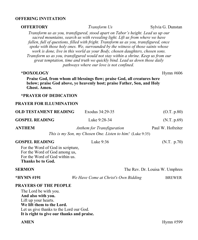#### **OFFERING INVITATION**

*Transform us as you, transfigured, stood apart on Tabor's height. Lead us up our sacred mountains, search us with revealing light. Lift us from where we have fallen, full of questions, filled with fright. Transform us as you, transfigured, once spoke with those holy ones. We, surrounded by the witness of those saints whose work is done, live in this world as your Body, chosen daughters, chosen sons. Transform us as you, transfigured would not stay within a shrine. Keep us from our great temptation, time and truth we quickly bind. Lead us down those daily pathways where our love is not confined.*

#### **\*DOXOLOGY** Hymn #606

**Praise God, from whom all blessings flow; praise God, all creatures here below; praise God above, ye heavenly host; praise Father, Son, and Holy Ghost. Amen.**

#### **\*PRAYER OF DEDICATION**

#### **PRAYER FOR ILLUMINATION**

| <b>OLD TESTAMENT READING</b>                                                                                                                                                                                              | Exodus 34:29-35                                                                                | (O.T. p.80)                    |
|---------------------------------------------------------------------------------------------------------------------------------------------------------------------------------------------------------------------------|------------------------------------------------------------------------------------------------|--------------------------------|
| <b>GOSPEL READING</b>                                                                                                                                                                                                     | Luke 9:28-34                                                                                   | (N.T. p.69)                    |
| <b>ANTHEM</b>                                                                                                                                                                                                             | Anthem for Transfiguration<br><i>This is my Son, my Chosen One. Listen to him!</i> (Luke 9:35) | Paul W. Hofreiter              |
| <b>GOSPEL READING</b><br>For the Word of God in scripture,<br>For the Word of God among us,<br>For the Word of God within us.<br><b>Thanks be to God.</b>                                                                 | Luke 9:36                                                                                      | (N.T. p.70)                    |
| <b>SERMON</b>                                                                                                                                                                                                             |                                                                                                | The Rev. Dr. Louisa W. Umphres |
| *HYMN #191                                                                                                                                                                                                                | We Have Come at Christ's Own Bidding                                                           | <b>BREWER</b>                  |
| <b>PRAYERS OF THE PEOPLE</b><br>The Lord be with you.<br>And also with you.<br>Lift up your hearts.<br>We lift them to the Lord.<br>Let us give thanks to the Lord our God.<br>It is right to give our thanks and praise. |                                                                                                |                                |

**AMEN** Hymn #599

**OFFERTORY** *Transform Us* Sylvia G. Dunstan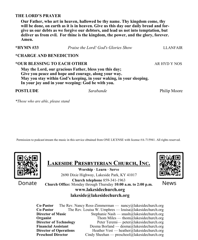#### **THE LORD'S PRAYER**

**Our Father, who art in heaven, hallowed be thy name. Thy kingdom come, thy will be done, on earth as it is in heaven. Give us this day our daily bread and forgive us our debts as we forgive our debtors, and lead us not into temptation, but deliver us from evil. For thine is the kingdom, the power, and the glory, forever. Amen.**

**\*HYMN #33** *Praise the Lord! God's Glories Show* LLANFAIR

### **\*CHARGE AND BENEDICTION**

### **\*OUR BLESSING TO EACH OTHER AR HYD Y NOS**

**May the Lord, our gracious Father, bless you this day; Give you peace and hope and courage, along your way. May you stay within God's keeping, in your waking, in your sleeping. In your joy and in your weeping: God be with you.**

**POSTLUDE** *Sarabande* **Philip Moore** *POSTLUDE* 

*\*Those who are able, please stand*

Permission to podcast/stream the music in this service obtained from ONE LICENSE with license #A-715941. All rights reserved.



Donate

**Lakeside Presbyterian Church, Inc.** 

**Worship · Learn · Serve** 2690 Dixie Highway, Lakeside Park, KY 41017 **Church telephone** 859-341-1963 **Church Office:** Monday through Thursday **10:00 a.m. to 2:00 p.m.**



**News** 

## **www.lakesidechurch.org lakeside@lakesidechurch.org**

**Co-Pastor** The Rev. Nancy Ross-Zimmerman — nancy@lakesidechurch.org **Co-Pastor** The Rev. Louisa W. Umphres — louisa@lakesidechurch.org **Director of Music** Stephanie Nash — snash@lakesidechurch.org **Organist** Thom Miles — thom all the intervalse of the Thom Miles — thom all the intervalse of the intervalse of the intervalse of the intervalse of the intervalse of the intervalse of the intervalse of the intervalse of t **Director of Technology** Peter Teremi— peter@lakesidechurch.org **Financial Assistant** Desma Borland — desma@lakesidechurch.org **Director of Operations** Heather Vest — heather@lakesidechurch.org **Preschool Director** Cindy Sheehan — preschool@lakesidechurch.org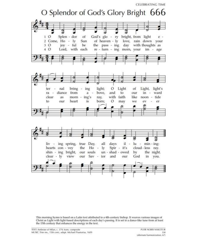

This morning hymn is based on a Latin text attributed to a 4th-century bishop. It weaves various images of Christ as Light with light-based descriptions of each day's passing. It is set to a dance-like tune from at least the 15th century that enhances the energy in the text.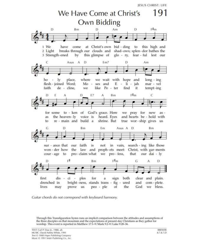

Guitar chords do not correspond with keyboard harmony.

Through this Transfiguration hymn runs an implicit comparison between the attitudes and assumptions of the three disciples on that mountain and the expectations of present-day Christians as they gather for worship. This event is reported in Matthew 17:1-9/Mark 9:2-9/Luke 9:28-36.